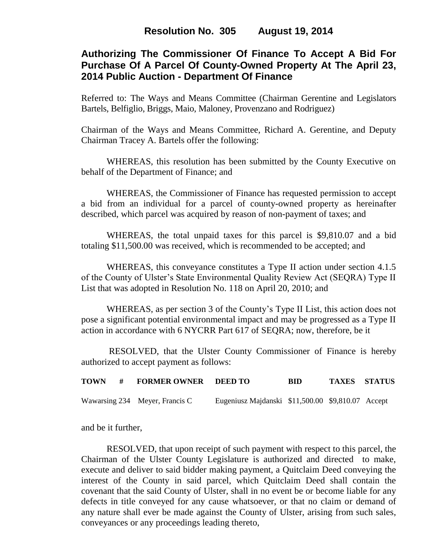# **Authorizing The Commissioner Of Finance To Accept A Bid For Purchase Of A Parcel Of County-Owned Property At The April 23, 2014 Public Auction - Department Of Finance**

Referred to: The Ways and Means Committee (Chairman Gerentine and Legislators Bartels, Belfiglio, Briggs, Maio, Maloney, Provenzano and Rodriguez)

Chairman of the Ways and Means Committee, Richard A. Gerentine, and Deputy Chairman Tracey A. Bartels offer the following:

WHEREAS, this resolution has been submitted by the County Executive on behalf of the Department of Finance; and

WHEREAS, the Commissioner of Finance has requested permission to accept a bid from an individual for a parcel of county-owned property as hereinafter described, which parcel was acquired by reason of non-payment of taxes; and

WHEREAS, the total unpaid taxes for this parcel is \$9,810.07 and a bid totaling \$11,500.00 was received, which is recommended to be accepted; and

WHEREAS, this conveyance constitutes a Type II action under section 4.1.5 of the County of Ulster's State Environmental Quality Review Act (SEQRA) Type II List that was adopted in Resolution No. 118 on April 20, 2010; and

WHEREAS, as per section 3 of the County's Type II List, this action does not pose a significant potential environmental impact and may be progressed as a Type II action in accordance with 6 NYCRR Part 617 of SEQRA; now, therefore, be it

RESOLVED, that the Ulster County Commissioner of Finance is hereby authorized to accept payment as follows:

|  | TOWN # FORMER OWNER DEED TO    |                                                   | BID | <b>TAXES STATUS</b> |  |
|--|--------------------------------|---------------------------------------------------|-----|---------------------|--|
|  | Wawarsing 234 Meyer, Francis C | Eugeniusz Majdanski \$11,500.00 \$9,810.07 Accept |     |                     |  |

and be it further,

RESOLVED, that upon receipt of such payment with respect to this parcel, the Chairman of the Ulster County Legislature is authorized and directed to make, execute and deliver to said bidder making payment, a Quitclaim Deed conveying the interest of the County in said parcel, which Quitclaim Deed shall contain the covenant that the said County of Ulster, shall in no event be or become liable for any defects in title conveyed for any cause whatsoever, or that no claim or demand of any nature shall ever be made against the County of Ulster, arising from such sales, conveyances or any proceedings leading thereto,